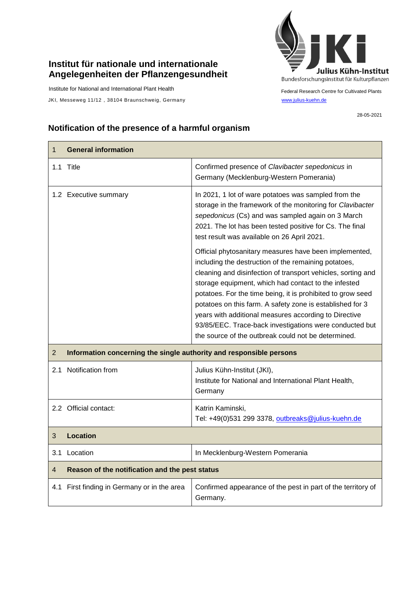## **Institut für nationale und internationale Angelegenheiten der Pflanzengesundheit**

Institute for National and International Plant Health

JKI, Messeweg 11/12, 38104 Braunschweig, Germany [www.julius-kuehn.de](http://www.julius-kuehn.de/)



Federal Research Centre for Cultivated Plants

28-05-2021

## **Notification of the presence of a harmful organism**

| $\mathbf 1$    | <b>General information</b>                                          |                                                                                                                                                                                                                                                                                                                                                                                                                                                                                                                                               |  |
|----------------|---------------------------------------------------------------------|-----------------------------------------------------------------------------------------------------------------------------------------------------------------------------------------------------------------------------------------------------------------------------------------------------------------------------------------------------------------------------------------------------------------------------------------------------------------------------------------------------------------------------------------------|--|
|                | 1.1 Title                                                           | Confirmed presence of Clavibacter sepedonicus in<br>Germany (Mecklenburg-Western Pomerania)                                                                                                                                                                                                                                                                                                                                                                                                                                                   |  |
|                | 1.2 Executive summary                                               | In 2021, 1 lot of ware potatoes was sampled from the<br>storage in the framework of the monitoring for Clavibacter<br>sepedonicus (Cs) and was sampled again on 3 March<br>2021. The lot has been tested positive for Cs. The final<br>test result was available on 26 April 2021.                                                                                                                                                                                                                                                            |  |
|                |                                                                     | Official phytosanitary measures have been implemented,<br>including the destruction of the remaining potatoes,<br>cleaning and disinfection of transport vehicles, sorting and<br>storage equipment, which had contact to the infested<br>potatoes. For the time being, it is prohibited to grow seed<br>potatoes on this farm. A safety zone is established for 3<br>years with additional measures according to Directive<br>93/85/EEC. Trace-back investigations were conducted but<br>the source of the outbreak could not be determined. |  |
| 2              | Information concerning the single authority and responsible persons |                                                                                                                                                                                                                                                                                                                                                                                                                                                                                                                                               |  |
| 2.1            | Notification from                                                   | Julius Kühn-Institut (JKI),<br>Institute for National and International Plant Health,<br>Germany                                                                                                                                                                                                                                                                                                                                                                                                                                              |  |
|                | 2.2 Official contact:                                               | Katrin Kaminski,<br>Tel: +49(0)531 299 3378, outbreaks@julius-kuehn.de                                                                                                                                                                                                                                                                                                                                                                                                                                                                        |  |
| 3              | <b>Location</b>                                                     |                                                                                                                                                                                                                                                                                                                                                                                                                                                                                                                                               |  |
| 3.1            | Location                                                            | In Mecklenburg-Western Pomerania                                                                                                                                                                                                                                                                                                                                                                                                                                                                                                              |  |
| $\overline{4}$ | Reason of the notification and the pest status                      |                                                                                                                                                                                                                                                                                                                                                                                                                                                                                                                                               |  |
| 4.1            | First finding in Germany or in the area                             | Confirmed appearance of the pest in part of the territory of<br>Germany.                                                                                                                                                                                                                                                                                                                                                                                                                                                                      |  |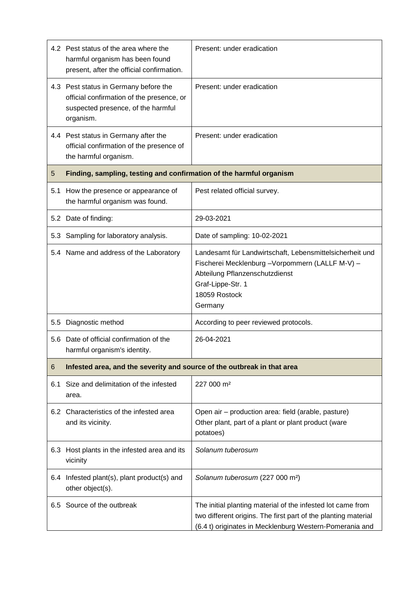|     | 4.2 Pest status of the area where the<br>harmful organism has been found<br>present, after the official confirmation.                 | Present: under eradication                                                                                                                                                                      |  |
|-----|---------------------------------------------------------------------------------------------------------------------------------------|-------------------------------------------------------------------------------------------------------------------------------------------------------------------------------------------------|--|
|     | 4.3 Pest status in Germany before the<br>official confirmation of the presence, or<br>suspected presence, of the harmful<br>organism. | Present: under eradication                                                                                                                                                                      |  |
|     | 4.4 Pest status in Germany after the<br>official confirmation of the presence of<br>the harmful organism.                             | Present: under eradication                                                                                                                                                                      |  |
| 5   | Finding, sampling, testing and confirmation of the harmful organism                                                                   |                                                                                                                                                                                                 |  |
| 5.1 | How the presence or appearance of<br>the harmful organism was found.                                                                  | Pest related official survey.                                                                                                                                                                   |  |
|     | 5.2 Date of finding:                                                                                                                  | 29-03-2021                                                                                                                                                                                      |  |
|     | 5.3 Sampling for laboratory analysis.                                                                                                 | Date of sampling: 10-02-2021                                                                                                                                                                    |  |
|     | 5.4 Name and address of the Laboratory                                                                                                | Landesamt für Landwirtschaft, Lebensmittelsicherheit und<br>Fischerei Mecklenburg - Vorpommern (LALLF M-V) -<br>Abteilung Pflanzenschutzdienst<br>Graf-Lippe-Str. 1<br>18059 Rostock<br>Germany |  |
| 5.5 | Diagnostic method                                                                                                                     | According to peer reviewed protocols.                                                                                                                                                           |  |
| 5.6 | Date of official confirmation of the<br>harmful organism's identity.                                                                  | 26-04-2021                                                                                                                                                                                      |  |
| 6   | Infested area, and the severity and source of the outbreak in that area                                                               |                                                                                                                                                                                                 |  |
| 6.1 | Size and delimitation of the infested<br>area.                                                                                        | 227 000 m <sup>2</sup>                                                                                                                                                                          |  |
|     | 6.2 Characteristics of the infested area<br>and its vicinity.                                                                         | Open air – production area: field (arable, pasture)<br>Other plant, part of a plant or plant product (ware<br>potatoes)                                                                         |  |
| 6.3 | Host plants in the infested area and its<br>vicinity                                                                                  | Solanum tuberosum                                                                                                                                                                               |  |
| 6.4 | Infested plant(s), plant product(s) and<br>other object(s).                                                                           | Solanum tuberosum (227 000 m <sup>2</sup> )                                                                                                                                                     |  |
|     | 6.5 Source of the outbreak                                                                                                            | The initial planting material of the infested lot came from<br>two different origins. The first part of the planting material<br>(6.4 t) originates in Mecklenburg Western-Pomerania and        |  |